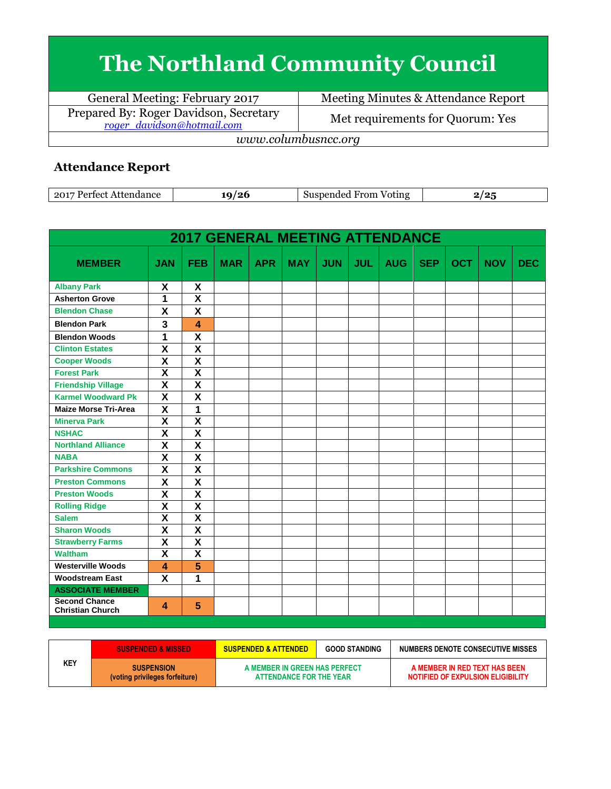## **The Northland Community Council**

General Meeting: February 2017 | Meeting Minutes & Attendance Report Prepared By: Roger Davidson, Secretary<br>
<u>roger davidson@hotmail.com</u> Met requirements for Quorum: Yes *www.columbusncc.org*

## **Attendance Report**

| 2017<br>onac | $^{\prime}$ | $\sim$<br>'otıng<br>ты<br>____ | $\sim$ |
|--------------|-------------|--------------------------------|--------|
|--------------|-------------|--------------------------------|--------|

|                                                 |                         |                         | <b>2017 GENERAL MEETING ATTENDANCE</b> |            |            |            |            |            |            |            |            |            |
|-------------------------------------------------|-------------------------|-------------------------|----------------------------------------|------------|------------|------------|------------|------------|------------|------------|------------|------------|
| <b>MEMBER</b>                                   | <b>JAN</b>              | <b>FEB</b>              | <b>MAR</b>                             | <b>APR</b> | <b>MAY</b> | <b>JUN</b> | <b>JUL</b> | <b>AUG</b> | <b>SEP</b> | <b>OCT</b> | <b>NOV</b> | <b>DEC</b> |
| <b>Albany Park</b>                              | X                       | X                       |                                        |            |            |            |            |            |            |            |            |            |
| <b>Asherton Grove</b>                           | 1                       | $\overline{\mathsf{x}}$ |                                        |            |            |            |            |            |            |            |            |            |
| <b>Blendon Chase</b>                            | X                       | $\overline{\mathbf{x}}$ |                                        |            |            |            |            |            |            |            |            |            |
| <b>Blendon Park</b>                             | 3                       | $\boldsymbol{\Lambda}$  |                                        |            |            |            |            |            |            |            |            |            |
| <b>Blendon Woods</b>                            | 1                       | $\overline{\mathsf{x}}$ |                                        |            |            |            |            |            |            |            |            |            |
| <b>Clinton Estates</b>                          | $\overline{\mathbf{x}}$ | $\overline{\mathbf{X}}$ |                                        |            |            |            |            |            |            |            |            |            |
| <b>Cooper Woods</b>                             | $\overline{\mathbf{x}}$ | $\overline{\mathbf{X}}$ |                                        |            |            |            |            |            |            |            |            |            |
| <b>Forest Park</b>                              | $\overline{\mathbf{x}}$ | $\overline{\mathbf{X}}$ |                                        |            |            |            |            |            |            |            |            |            |
| <b>Friendship Village</b>                       | $\overline{\mathbf{x}}$ | $\overline{\mathbf{x}}$ |                                        |            |            |            |            |            |            |            |            |            |
| <b>Karmel Woodward Pk</b>                       | $\overline{\mathsf{x}}$ | $\overline{\mathsf{x}}$ |                                        |            |            |            |            |            |            |            |            |            |
| <b>Maize Morse Tri-Area</b>                     | $\overline{\textbf{X}}$ | $\overline{1}$          |                                        |            |            |            |            |            |            |            |            |            |
| <b>Minerva Park</b>                             | $\overline{\textbf{X}}$ | $\overline{\mathbf{X}}$ |                                        |            |            |            |            |            |            |            |            |            |
| <b>NSHAC</b>                                    | $\overline{\textsf{x}}$ | $\overline{\mathsf{x}}$ |                                        |            |            |            |            |            |            |            |            |            |
| <b>Northland Alliance</b>                       | $\overline{\textsf{x}}$ | $\overline{\mathsf{x}}$ |                                        |            |            |            |            |            |            |            |            |            |
| <b>NABA</b>                                     | $\overline{\textsf{x}}$ | $\overline{\mathsf{x}}$ |                                        |            |            |            |            |            |            |            |            |            |
| <b>Parkshire Commons</b>                        | $\overline{\mathbf{x}}$ | $\overline{\mathbf{X}}$ |                                        |            |            |            |            |            |            |            |            |            |
| <b>Preston Commons</b>                          | $\overline{\mathbf{x}}$ | $\overline{\mathbf{x}}$ |                                        |            |            |            |            |            |            |            |            |            |
| <b>Preston Woods</b>                            | $\overline{\mathbf{x}}$ | $\overline{\mathbf{x}}$ |                                        |            |            |            |            |            |            |            |            |            |
| <b>Rolling Ridge</b>                            | $\overline{\mathsf{x}}$ | $\overline{\mathbf{X}}$ |                                        |            |            |            |            |            |            |            |            |            |
| <b>Salem</b>                                    | $\overline{\mathsf{x}}$ | $\overline{\textsf{x}}$ |                                        |            |            |            |            |            |            |            |            |            |
| <b>Sharon Woods</b>                             | $\overline{\mathbf{x}}$ | $\overline{\mathsf{x}}$ |                                        |            |            |            |            |            |            |            |            |            |
| <b>Strawberry Farms</b>                         | $\overline{\mathbf{x}}$ | $\overline{\textsf{x}}$ |                                        |            |            |            |            |            |            |            |            |            |
| <b>Waltham</b>                                  | $\overline{\mathbf{x}}$ | $\overline{\mathbf{X}}$ |                                        |            |            |            |            |            |            |            |            |            |
| <b>Westerville Woods</b>                        | $\overline{\mathbf{A}}$ | 5                       |                                        |            |            |            |            |            |            |            |            |            |
| <b>Woodstream East</b>                          | X                       | 1                       |                                        |            |            |            |            |            |            |            |            |            |
| <b>ASSOCIATE MEMBER</b>                         |                         |                         |                                        |            |            |            |            |            |            |            |            |            |
| <b>Second Chance</b><br><b>Christian Church</b> | 4                       | 5                       |                                        |            |            |            |            |            |            |            |            |            |

|     | <b>SUSPENDED &amp; MISSED</b>                       | <b>SUSPENDED &amp; ATTENDED</b>                          | <b>GOOD STANDING</b> | NUMBERS DENOTE CONSECUTIVE MISSES                                  |  |  |
|-----|-----------------------------------------------------|----------------------------------------------------------|----------------------|--------------------------------------------------------------------|--|--|
| KEY | <b>SUSPENSION</b><br>(voting privileges forfeiture) | A MEMBER IN GREEN HAS PERFECT<br>ATTENDANCE FOR THE YEAR |                      | A MEMBER IN RED TEXT HAS BEEN<br>NOTIFIED OF EXPULSION ELIGIBILITY |  |  |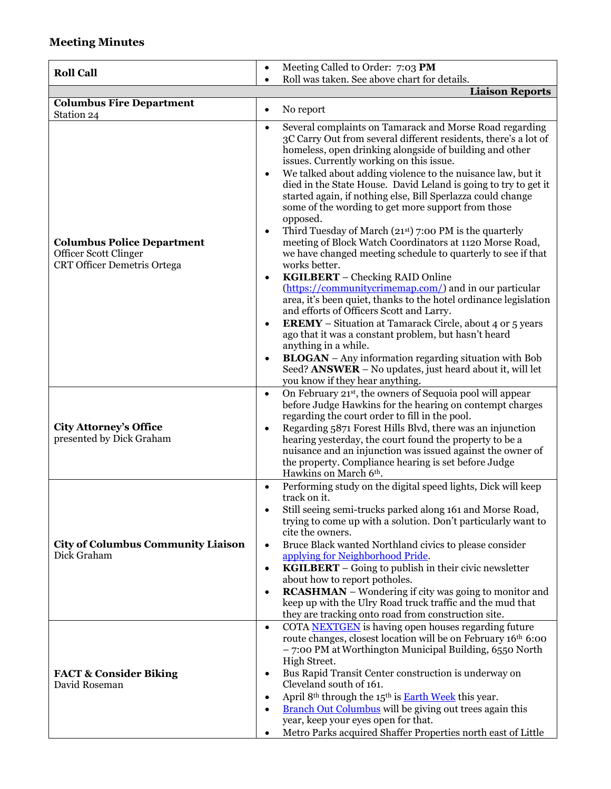## **Meeting Minutes**

|                                                                                                  | Meeting Called to Order: 7:03 PM<br>$\bullet$                                                                                                                                                                                                                                                                                                                                                                                                                                                                                                                                                                                                                                                                                                                                                                                                                                                                                                                                                                                                                 |
|--------------------------------------------------------------------------------------------------|---------------------------------------------------------------------------------------------------------------------------------------------------------------------------------------------------------------------------------------------------------------------------------------------------------------------------------------------------------------------------------------------------------------------------------------------------------------------------------------------------------------------------------------------------------------------------------------------------------------------------------------------------------------------------------------------------------------------------------------------------------------------------------------------------------------------------------------------------------------------------------------------------------------------------------------------------------------------------------------------------------------------------------------------------------------|
| <b>Roll Call</b>                                                                                 | Roll was taken. See above chart for details.<br>$\bullet$                                                                                                                                                                                                                                                                                                                                                                                                                                                                                                                                                                                                                                                                                                                                                                                                                                                                                                                                                                                                     |
|                                                                                                  | <b>Liaison Reports</b>                                                                                                                                                                                                                                                                                                                                                                                                                                                                                                                                                                                                                                                                                                                                                                                                                                                                                                                                                                                                                                        |
| <b>Columbus Fire Department</b><br>Station 24                                                    | No report<br>$\bullet$                                                                                                                                                                                                                                                                                                                                                                                                                                                                                                                                                                                                                                                                                                                                                                                                                                                                                                                                                                                                                                        |
| <b>Columbus Police Department</b><br>Officer Scott Clinger<br><b>CRT Officer Demetris Ortega</b> | Several complaints on Tamarack and Morse Road regarding<br>$\bullet$<br>3C Carry Out from several different residents, there's a lot of<br>homeless, open drinking alongside of building and other<br>issues. Currently working on this issue.<br>We talked about adding violence to the nuisance law, but it<br>$\bullet$<br>died in the State House. David Leland is going to try to get it<br>started again, if nothing else, Bill Sperlazza could change<br>some of the wording to get more support from those<br>opposed.<br>Third Tuesday of March $(21st)$ 7:00 PM is the quarterly<br>$\bullet$<br>meeting of Block Watch Coordinators at 1120 Morse Road,<br>we have changed meeting schedule to quarterly to see if that<br>works better.<br>KGILBERT - Checking RAID Online<br>$\bullet$<br>(https://communitycrimemap.com/) and in our particular<br>area, it's been quiet, thanks to the hotel ordinance legislation<br>and efforts of Officers Scott and Larry.<br><b>EREMY</b> – Situation at Tamarack Circle, about 4 or 5 years<br>$\bullet$ |
|                                                                                                  | ago that it was a constant problem, but hasn't heard<br>anything in a while.<br><b>BLOGAN</b> – Any information regarding situation with Bob<br>$\bullet$<br>Seed? ANSWER - No updates, just heard about it, will let<br>you know if they hear anything.                                                                                                                                                                                                                                                                                                                                                                                                                                                                                                                                                                                                                                                                                                                                                                                                      |
| <b>City Attorney's Office</b><br>presented by Dick Graham                                        | On February 21st, the owners of Sequoia pool will appear<br>$\bullet$<br>before Judge Hawkins for the hearing on contempt charges<br>regarding the court order to fill in the pool.<br>Regarding 5871 Forest Hills Blvd, there was an injunction<br>$\bullet$<br>hearing yesterday, the court found the property to be a<br>nuisance and an injunction was issued against the owner of<br>the property. Compliance hearing is set before Judge<br>Hawkins on March 6th.                                                                                                                                                                                                                                                                                                                                                                                                                                                                                                                                                                                       |
| <b>City of Columbus Community Liaison</b><br>Dick Graham                                         | Performing study on the digital speed lights, Dick will keep<br>$\bullet$<br>track on it.<br>Still seeing semi-trucks parked along 161 and Morse Road,<br>trying to come up with a solution. Don't particularly want to<br>cite the owners.<br>Bruce Black wanted Northland civics to please consider<br>$\bullet$<br>applying for Neighborhood Pride.<br><b>KGILBERT</b> – Going to publish in their civic newsletter<br>$\bullet$<br>about how to report potholes.<br><b>RCASHMAN</b> – Wondering if city was going to monitor and<br>$\bullet$<br>keep up with the Ulry Road truck traffic and the mud that<br>they are tracking onto road from construction site.                                                                                                                                                                                                                                                                                                                                                                                         |
| <b>FACT &amp; Consider Biking</b><br>David Roseman                                               | COTA NEXTGEN is having open houses regarding future<br>$\bullet$<br>route changes, closest location will be on February 16th 6:00<br>- 7:00 PM at Worthington Municipal Building, 6550 North<br>High Street.<br>Bus Rapid Transit Center construction is underway on<br>٠<br>Cleveland south of 161.<br>April 8th through the 15th is <b>Earth Week</b> this year.<br><b>Branch Out Columbus</b> will be giving out trees again this<br>year, keep your eyes open for that.<br>Metro Parks acquired Shaffer Properties north east of Little                                                                                                                                                                                                                                                                                                                                                                                                                                                                                                                   |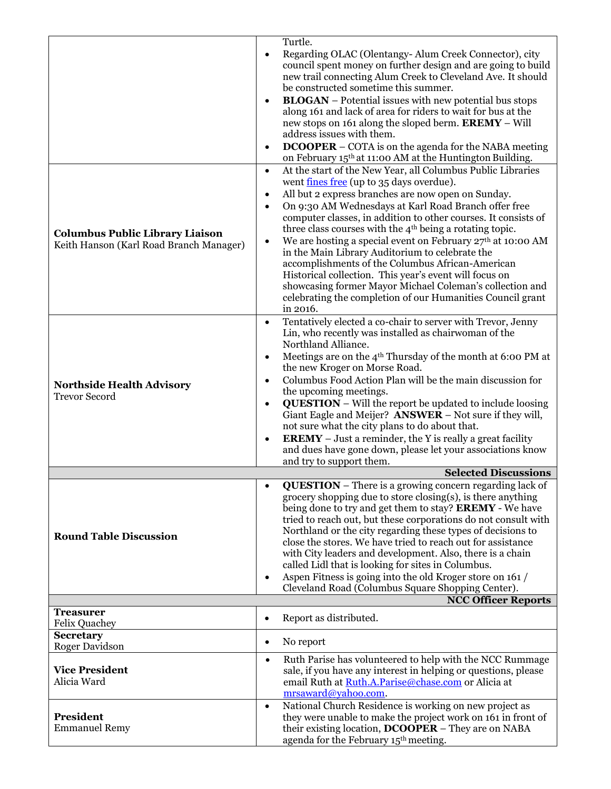|                                                                                               |           | Turtle.                                                                                                    |  |  |  |
|-----------------------------------------------------------------------------------------------|-----------|------------------------------------------------------------------------------------------------------------|--|--|--|
|                                                                                               | $\bullet$ | Regarding OLAC (Olentangy-Alum Creek Connector), city                                                      |  |  |  |
|                                                                                               |           | council spent money on further design and are going to build                                               |  |  |  |
|                                                                                               |           | new trail connecting Alum Creek to Cleveland Ave. It should                                                |  |  |  |
|                                                                                               |           | be constructed sometime this summer.                                                                       |  |  |  |
|                                                                                               | ٠         | <b>BLOGAN</b> – Potential issues with new potential bus stops                                              |  |  |  |
|                                                                                               |           | along 161 and lack of area for riders to wait for bus at the                                               |  |  |  |
|                                                                                               |           | new stops on 161 along the sloped berm. EREMY - Will                                                       |  |  |  |
|                                                                                               |           | address issues with them.                                                                                  |  |  |  |
|                                                                                               | $\bullet$ | <b>DCOOPER</b> - COTA is on the agenda for the NABA meeting                                                |  |  |  |
|                                                                                               |           | on February 15th at 11:00 AM at the Huntington Building.                                                   |  |  |  |
|                                                                                               | $\bullet$ | At the start of the New Year, all Columbus Public Libraries                                                |  |  |  |
|                                                                                               |           | went fines free (up to 35 days overdue).                                                                   |  |  |  |
|                                                                                               | $\bullet$ | All but 2 express branches are now open on Sunday.                                                         |  |  |  |
|                                                                                               | $\bullet$ | On 9:30 AM Wednesdays at Karl Road Branch offer free                                                       |  |  |  |
|                                                                                               |           | computer classes, in addition to other courses. It consists of                                             |  |  |  |
| <b>Columbus Public Library Liaison</b>                                                        |           | three class courses with the 4 <sup>th</sup> being a rotating topic.                                       |  |  |  |
| Keith Hanson (Karl Road Branch Manager)                                                       | $\bullet$ | We are hosting a special event on February 27th at 10:00 AM                                                |  |  |  |
|                                                                                               |           | in the Main Library Auditorium to celebrate the                                                            |  |  |  |
|                                                                                               |           | accomplishments of the Columbus African-American<br>Historical collection. This year's event will focus on |  |  |  |
|                                                                                               |           | showcasing former Mayor Michael Coleman's collection and                                                   |  |  |  |
|                                                                                               |           | celebrating the completion of our Humanities Council grant                                                 |  |  |  |
|                                                                                               |           | in 2016.                                                                                                   |  |  |  |
|                                                                                               | $\bullet$ | Tentatively elected a co-chair to server with Trevor, Jenny                                                |  |  |  |
|                                                                                               |           | Lin, who recently was installed as chairwoman of the                                                       |  |  |  |
|                                                                                               |           | Northland Alliance.                                                                                        |  |  |  |
|                                                                                               |           | Meetings are on the 4 <sup>th</sup> Thursday of the month at 6:00 PM at                                    |  |  |  |
|                                                                                               |           | the new Kroger on Morse Road.                                                                              |  |  |  |
| <b>Northside Health Advisory</b>                                                              | $\bullet$ | Columbus Food Action Plan will be the main discussion for                                                  |  |  |  |
| <b>Trevor Secord</b>                                                                          |           | the upcoming meetings.                                                                                     |  |  |  |
|                                                                                               | $\bullet$ | <b>QUESTION</b> – Will the report be updated to include loosing                                            |  |  |  |
|                                                                                               |           | Giant Eagle and Meijer? ANSWER - Not sure if they will,                                                    |  |  |  |
|                                                                                               |           | not sure what the city plans to do about that.                                                             |  |  |  |
|                                                                                               | $\bullet$ | <b>EREMY</b> – Just a reminder, the Y is really a great facility                                           |  |  |  |
|                                                                                               |           | and dues have gone down, please let your associations know                                                 |  |  |  |
|                                                                                               |           | and try to support them.                                                                                   |  |  |  |
| <b>Selected Discussions</b><br><b>QUESTION</b> – There is a growing concern regarding lack of |           |                                                                                                            |  |  |  |
|                                                                                               | $\bullet$ | grocery shopping due to store closing(s), is there anything                                                |  |  |  |
|                                                                                               |           | being done to try and get them to stay? <b>EREMY</b> - We have                                             |  |  |  |
|                                                                                               |           | tried to reach out, but these corporations do not consult with                                             |  |  |  |
|                                                                                               |           | Northland or the city regarding these types of decisions to                                                |  |  |  |
| <b>Round Table Discussion</b>                                                                 |           | close the stores. We have tried to reach out for assistance                                                |  |  |  |
|                                                                                               |           | with City leaders and development. Also, there is a chain                                                  |  |  |  |
|                                                                                               |           | called Lidl that is looking for sites in Columbus.                                                         |  |  |  |
|                                                                                               | ٠         | Aspen Fitness is going into the old Kroger store on 161 /                                                  |  |  |  |
|                                                                                               |           | Cleveland Road (Columbus Square Shopping Center).                                                          |  |  |  |
|                                                                                               |           | <b>NCC Officer Reports</b>                                                                                 |  |  |  |
| <b>Treasurer</b><br>Felix Quachey                                                             | $\bullet$ | Report as distributed.                                                                                     |  |  |  |
| <b>Secretary</b>                                                                              |           |                                                                                                            |  |  |  |
| Roger Davidson                                                                                | $\bullet$ | No report                                                                                                  |  |  |  |
|                                                                                               | $\bullet$ | Ruth Parise has volunteered to help with the NCC Rummage                                                   |  |  |  |
| <b>Vice President</b><br>Alicia Ward                                                          |           | sale, if you have any interest in helping or questions, please                                             |  |  |  |
|                                                                                               |           | email Ruth at Ruth.A.Parise@chase.com or Alicia at                                                         |  |  |  |
|                                                                                               |           | mrsaward@yahoo.com.                                                                                        |  |  |  |
| <b>President</b>                                                                              | $\bullet$ | National Church Residence is working on new project as                                                     |  |  |  |
| <b>Emmanuel Remy</b>                                                                          |           | they were unable to make the project work on 161 in front of                                               |  |  |  |
|                                                                                               |           | their existing location, DCOOPER – They are on NABA<br>agenda for the February 15 <sup>th</sup> meeting.   |  |  |  |
|                                                                                               |           |                                                                                                            |  |  |  |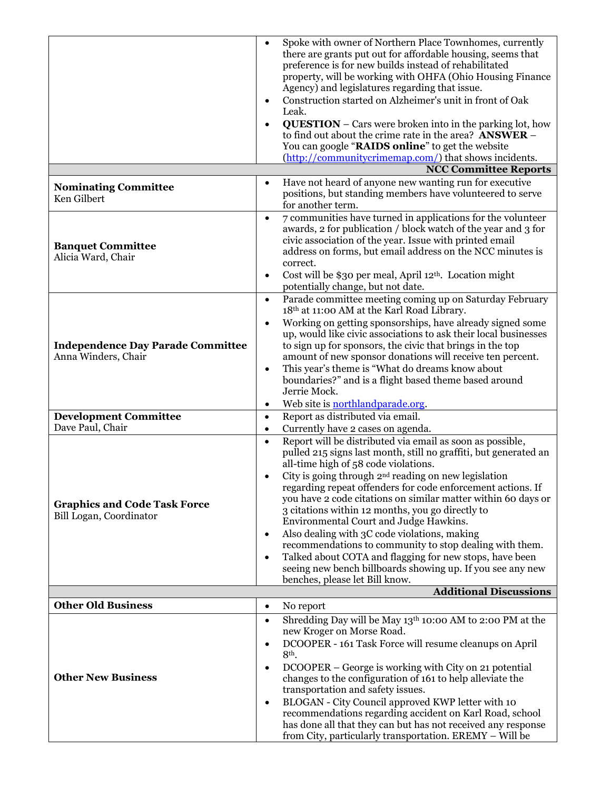|                                          | $\bullet$                     | Spoke with owner of Northern Place Townhomes, currently                                                                  |  |  |  |
|------------------------------------------|-------------------------------|--------------------------------------------------------------------------------------------------------------------------|--|--|--|
|                                          |                               | there are grants put out for affordable housing, seems that                                                              |  |  |  |
|                                          |                               | preference is for new builds instead of rehabilitated                                                                    |  |  |  |
|                                          |                               | property, will be working with OHFA (Ohio Housing Finance                                                                |  |  |  |
|                                          |                               | Agency) and legislatures regarding that issue.                                                                           |  |  |  |
|                                          |                               | Construction started on Alzheimer's unit in front of Oak                                                                 |  |  |  |
|                                          |                               | Leak.                                                                                                                    |  |  |  |
|                                          | $\bullet$                     | <b>QUESTION</b> – Cars were broken into in the parking lot, how                                                          |  |  |  |
|                                          |                               | to find out about the crime rate in the area? ANSWER -                                                                   |  |  |  |
|                                          |                               | You can google "RAIDS online" to get the website                                                                         |  |  |  |
|                                          |                               | (http://communitycrimemap.com/) that shows incidents.                                                                    |  |  |  |
|                                          |                               | <b>NCC Committee Reports</b>                                                                                             |  |  |  |
| <b>Nominating Committee</b>              | $\bullet$                     | Have not heard of anyone new wanting run for executive                                                                   |  |  |  |
| Ken Gilbert                              |                               | positions, but standing members have volunteered to serve<br>for another term.                                           |  |  |  |
|                                          |                               |                                                                                                                          |  |  |  |
|                                          | $\bullet$                     | 7 communities have turned in applications for the volunteer                                                              |  |  |  |
|                                          |                               | awards, 2 for publication / block watch of the year and 3 for<br>civic association of the year. Issue with printed email |  |  |  |
| <b>Banquet Committee</b>                 |                               | address on forms, but email address on the NCC minutes is                                                                |  |  |  |
| Alicia Ward, Chair                       |                               | correct.                                                                                                                 |  |  |  |
|                                          | ٠                             | Cost will be \$30 per meal, April 12 <sup>th</sup> . Location might                                                      |  |  |  |
|                                          |                               | potentially change, but not date.                                                                                        |  |  |  |
|                                          | $\bullet$                     | Parade committee meeting coming up on Saturday February                                                                  |  |  |  |
|                                          |                               | 18th at 11:00 AM at the Karl Road Library.                                                                               |  |  |  |
|                                          |                               | Working on getting sponsorships, have already signed some                                                                |  |  |  |
|                                          |                               | up, would like civic associations to ask their local businesses                                                          |  |  |  |
| <b>Independence Day Parade Committee</b> |                               | to sign up for sponsors, the civic that brings in the top                                                                |  |  |  |
| Anna Winders, Chair                      |                               | amount of new sponsor donations will receive ten percent.                                                                |  |  |  |
|                                          | $\bullet$                     | This year's theme is "What do dreams know about                                                                          |  |  |  |
|                                          |                               | boundaries?" and is a flight based theme based around                                                                    |  |  |  |
|                                          |                               | Jerrie Mock.                                                                                                             |  |  |  |
|                                          | $\bullet$                     | Web site is <b>northlandparade.org</b> .                                                                                 |  |  |  |
| <b>Development Committee</b>             | $\bullet$                     | Report as distributed via email.                                                                                         |  |  |  |
| Dave Paul, Chair                         | $\bullet$                     | Currently have 2 cases on agenda.                                                                                        |  |  |  |
|                                          | $\bullet$                     | Report will be distributed via email as soon as possible,                                                                |  |  |  |
|                                          |                               | pulled 215 signs last month, still no graffiti, but generated an                                                         |  |  |  |
|                                          |                               | all-time high of 58 code violations.                                                                                     |  |  |  |
|                                          |                               | City is going through $2nd$ reading on new legislation<br>regarding repeat offenders for code enforcement actions. If    |  |  |  |
|                                          |                               | you have 2 code citations on similar matter within 60 days or                                                            |  |  |  |
| <b>Graphics and Code Task Force</b>      |                               | 3 citations within 12 months, you go directly to                                                                         |  |  |  |
| Bill Logan, Coordinator                  |                               | Environmental Court and Judge Hawkins.                                                                                   |  |  |  |
|                                          | $\bullet$                     | Also dealing with 3C code violations, making                                                                             |  |  |  |
|                                          |                               | recommendations to community to stop dealing with them.                                                                  |  |  |  |
|                                          | $\bullet$                     | Talked about COTA and flagging for new stops, have been                                                                  |  |  |  |
|                                          |                               | seeing new bench billboards showing up. If you see any new                                                               |  |  |  |
|                                          |                               | benches, please let Bill know.                                                                                           |  |  |  |
|                                          | <b>Additional Discussions</b> |                                                                                                                          |  |  |  |
| <b>Other Old Business</b>                | $\bullet$                     | No report                                                                                                                |  |  |  |
|                                          | $\bullet$                     | Shredding Day will be May 13th 10:00 AM to 2:00 PM at the<br>new Kroger on Morse Road.                                   |  |  |  |
|                                          | $\bullet$                     | DCOOPER - 161 Task Force will resume cleanups on April                                                                   |  |  |  |
|                                          |                               | 8th.                                                                                                                     |  |  |  |
|                                          | $\bullet$                     | DCOOPER – George is working with City on 21 potential                                                                    |  |  |  |
| <b>Other New Business</b>                |                               | changes to the configuration of 161 to help alleviate the                                                                |  |  |  |
|                                          |                               | transportation and safety issues.                                                                                        |  |  |  |
|                                          | $\bullet$                     | BLOGAN - City Council approved KWP letter with 10                                                                        |  |  |  |
|                                          |                               | recommendations regarding accident on Karl Road, school                                                                  |  |  |  |
|                                          |                               | has done all that they can but has not received any response                                                             |  |  |  |
|                                          |                               | from City, particularly transportation. EREMY - Will be                                                                  |  |  |  |